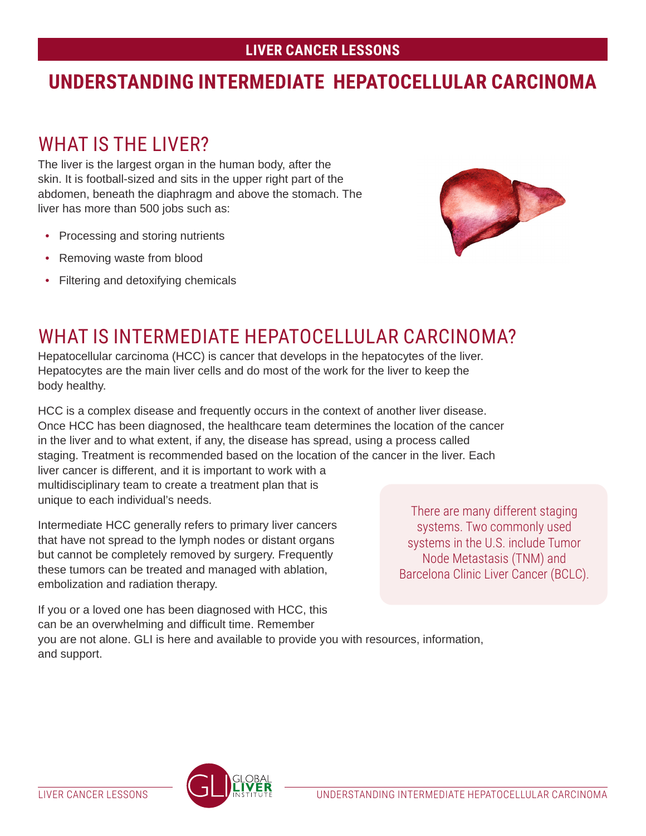## **LIVER CANCER LESSONS**

# **UNDERSTANDING INTERMEDIATE HEPATOCELLULAR CARCINOMA**

# WHAT IS THE LIVER?

The liver is the largest organ in the human body, after the skin. It is football-sized and sits in the upper right part of the abdomen, beneath the diaphragm and above the stomach. The liver has more than 500 jobs such as:

- Processing and storing nutrients
- Removing waste from blood
- Filtering and detoxifying chemicals



# WHAT IS INTERMEDIATE HEPATOCELLULAR CARCINOMA?

Hepatocellular carcinoma (HCC) is cancer that develops in the hepatocytes of the liver. Hepatocytes are the main liver cells and do most of the work for the liver to keep the body healthy.

HCC is a complex disease and frequently occurs in the context of another liver disease. Once HCC has been diagnosed, the healthcare team determines the location of the cancer in the liver and to what extent, if any, the disease has spread, using a process called staging. Treatment is recommended based on the location of the cancer in the liver. Each liver cancer is different, and it is important to work with a multidisciplinary team to create a treatment plan that is unique to each individual's needs.

Intermediate HCC generally refers to primary liver cancers that have not spread to the lymph nodes or distant organs but cannot be completely removed by surgery. Frequently these tumors can be treated and managed with ablation, embolization and radiation therapy.

There are many different staging systems. Two commonly used systems in the U.S. include Tumor Node Metastasis (TNM) and Barcelona Clinic Liver Cancer (BCLC).

If you or a loved one has been diagnosed with HCC, this can be an overwhelming and difficult time. Remember you are not alone. GLI is here and available to provide you with resources, information, and support.

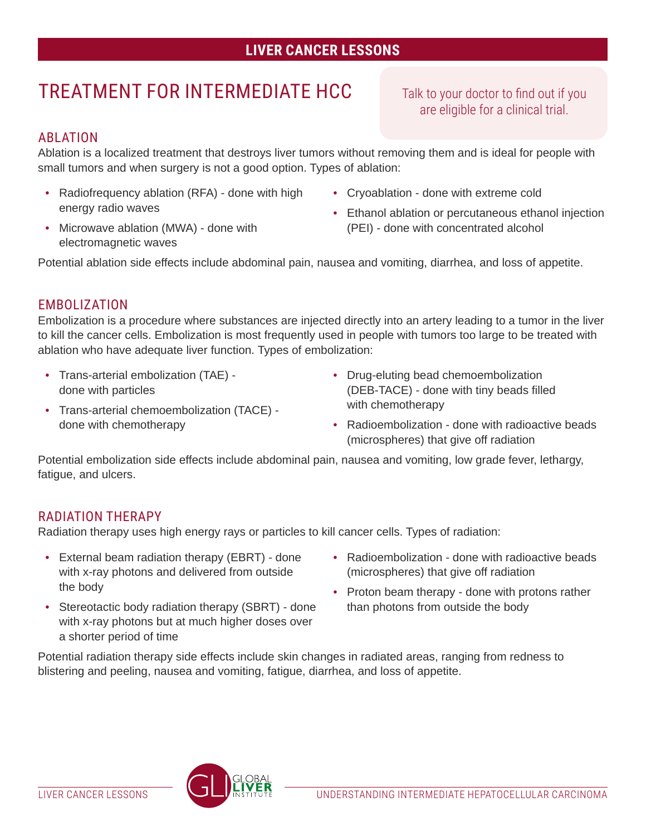# **LIVER CANCER LESSONS**

# TREATMENT FOR INTERMEDIATE HCC

Talk to your doctor to find out if you are eligible for a clinical trial.

### ABLATION

Ablation is a localized treatment that destroys liver tumors without removing them and is ideal for people with small tumors and when surgery is not a good option. Types of ablation:

- Radiofrequency ablation (RFA) done with high energy radio waves
- Microwave ablation (MWA) done with electromagnetic waves
- Cryoablation done with extreme cold
- Ethanol ablation or percutaneous ethanol injection (PEI) - done with concentrated alcohol

Potential ablation side effects include abdominal pain, nausea and vomiting, diarrhea, and loss of appetite.

#### EMBOLIZATION

Embolization is a procedure where substances are injected directly into an artery leading to a tumor in the liver to kill the cancer cells. Embolization is most frequently used in people with tumors too large to be treated with ablation who have adequate liver function. Types of embolization:

- Trans-arterial embolization (TAE) done with particles
- Trans-arterial chemoembolization (TACE) done with chemotherapy
- Drug-eluting bead chemoembolization (DEB-TACE) - done with tiny beads filled with chemotherapy
- Radioembolization done with radioactive beads (microspheres) that give off radiation

Potential embolization side effects include abdominal pain, nausea and vomiting, low grade fever, lethargy, fatigue, and ulcers.

#### RADIATION THERAPY

Radiation therapy uses high energy rays or particles to kill cancer cells. Types of radiation:

- External beam radiation therapy (EBRT) done with x-ray photons and delivered from outside the body
- Stereotactic body radiation therapy (SBRT) done with x-ray photons but at much higher doses over a shorter period of time
- Radioembolization done with radioactive beads (microspheres) that give off radiation
- Proton beam therapy done with protons rather than photons from outside the body

Potential radiation therapy side effects include skin changes in radiated areas, ranging from redness to blistering and peeling, nausea and vomiting, fatigue, diarrhea, and loss of appetite.